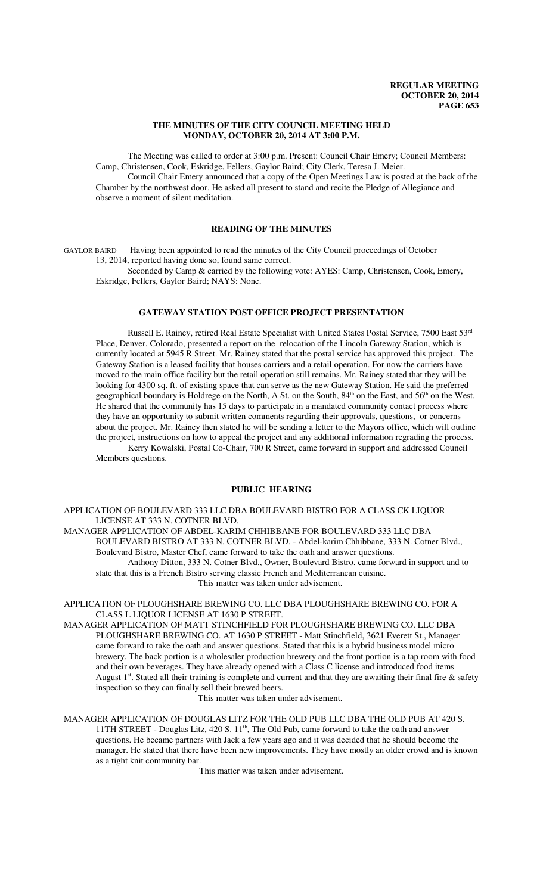### **THE MINUTES OF THE CITY COUNCIL MEETING HELD MONDAY, OCTOBER 20, 2014 AT 3:00 P.M.**

The Meeting was called to order at 3:00 p.m. Present: Council Chair Emery; Council Members: Camp, Christensen, Cook, Eskridge, Fellers, Gaylor Baird; City Clerk, Teresa J. Meier. Council Chair Emery announced that a copy of the Open Meetings Law is posted at the back of the

Chamber by the northwest door. He asked all present to stand and recite the Pledge of Allegiance and observe a moment of silent meditation.

### **READING OF THE MINUTES**

GAYLOR BAIRD Having been appointed to read the minutes of the City Council proceedings of October 13, 2014, reported having done so, found same correct.

Seconded by Camp & carried by the following vote: AYES: Camp, Christensen, Cook, Emery, Eskridge, Fellers, Gaylor Baird; NAYS: None.

### **GATEWAY STATION POST OFFICE PROJECT PRESENTATION**

Russell E. Rainey, retired Real Estate Specialist with United States Postal Service, 7500 East 53rd Place, Denver, Colorado, presented a report on the relocation of the Lincoln Gateway Station, which is currently located at 5945 R Street. Mr. Rainey stated that the postal service has approved this project. The Gateway Station is a leased facility that houses carriers and a retail operation. For now the carriers have moved to the main office facility but the retail operation still remains. Mr. Rainey stated that they will be looking for 4300 sq. ft. of existing space that can serve as the new Gateway Station. He said the preferred geographical boundary is Holdrege on the North, A St. on the South,  $84<sup>th</sup>$  on the East, and  $56<sup>th</sup>$  on the West. He shared that the community has 15 days to participate in a mandated community contact process where they have an opportunity to submit written comments regarding their approvals, questions, or concerns about the project. Mr. Rainey then stated he will be sending a letter to the Mayors office, which will outline the project, instructions on how to appeal the project and any additional information regrading the process. Kerry Kowalski, Postal Co-Chair, 700 R Street, came forward in support and addressed Council Members questions.

### **PUBLIC HEARING**

APPLICATION OF BOULEVARD 333 LLC DBA BOULEVARD BISTRO FOR A CLASS CK LIQUOR LICENSE AT 333 N. COTNER BLVD.

MANAGER APPLICATION OF ABDEL-KARIM CHHIBBANE FOR BOULEVARD 333 LLC DBA BOULEVARD BISTRO AT 333 N. COTNER BLVD. - Abdel-karim Chhibbane, 333 N. Cotner Blvd., Boulevard Bistro, Master Chef, came forward to take the oath and answer questions. Anthony Ditton, 333 N. Cotner Blvd., Owner, Boulevard Bistro, came forward in support and to state that this is a French Bistro serving classic French and Mediterranean cuisine.

This matter was taken under advisement.

APPLICATION OF PLOUGHSHARE BREWING CO. LLC DBA PLOUGHSHARE BREWING CO. FOR A CLASS L LIQUOR LICENSE AT 1630 P STREET.

MANAGER APPLICATION OF MATT STINCHFIELD FOR PLOUGHSHARE BREWING CO. LLC DBA PLOUGHSHARE BREWING CO. AT 1630 P STREET - Matt Stinchfield, 3621 Everett St., Manager came forward to take the oath and answer questions. Stated that this is a hybrid business model micro brewery. The back portion is a wholesaler production brewery and the front portion is a tap room with food and their own beverages. They have already opened with a Class C license and introduced food items August  $1<sup>st</sup>$ . Stated all their training is complete and current and that they are awaiting their final fire  $\&$  safety inspection so they can finally sell their brewed beers.

This matter was taken under advisement.

MANAGER APPLICATION OF DOUGLAS LITZ FOR THE OLD PUB LLC DBA THE OLD PUB AT 420 S. 11TH STREET - Douglas Litz, 420 S.  $11<sup>th</sup>$ , The Old Pub, came forward to take the oath and answer questions. He became partners with Jack a few years ago and it was decided that he should become the manager. He stated that there have been new improvements. They have mostly an older crowd and is known as a tight knit community bar.

This matter was taken under advisement.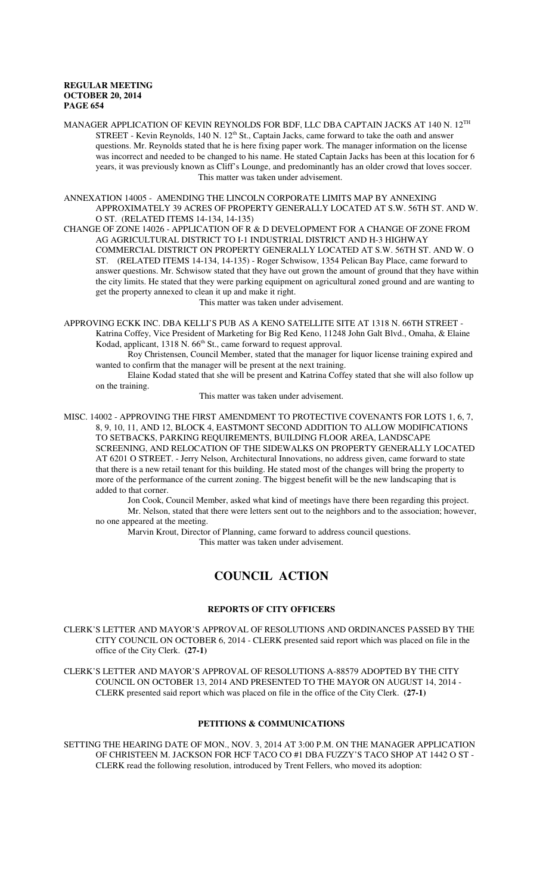MANAGER APPLICATION OF KEVIN REYNOLDS FOR BDF, LLC DBA CAPTAIN JACKS AT 140 N. 12TH STREET - Kevin Reynolds, 140 N. 12<sup>th</sup> St., Captain Jacks, came forward to take the oath and answer questions. Mr. Reynolds stated that he is here fixing paper work. The manager information on the license was incorrect and needed to be changed to his name. He stated Captain Jacks has been at this location for 6 years, it was previously known as Cliff's Lounge, and predominantly has an older crowd that loves soccer. This matter was taken under advisement.

ANNEXATION 14005 - AMENDING THE LINCOLN CORPORATE LIMITS MAP BY ANNEXING APPROXIMATELY 39 ACRES OF PROPERTY GENERALLY LOCATED AT S.W. 56TH ST. AND W. O ST. (RELATED ITEMS 14-134, 14-135)

CHANGE OF ZONE 14026 - APPLICATION OF R & D DEVELOPMENT FOR A CHANGE OF ZONE FROM AG AGRICULTURAL DISTRICT TO I-1 INDUSTRIAL DISTRICT AND H-3 HIGHWAY COMMERCIAL DISTRICT ON PROPERTY GENERALLY LOCATED AT S.W. 56TH ST. AND W. O ST. (RELATED ITEMS 14-134, 14-135) - Roger Schwisow, 1354 Pelican Bay Place, came forward to answer questions. Mr. Schwisow stated that they have out grown the amount of ground that they have within the city limits. He stated that they were parking equipment on agricultural zoned ground and are wanting to get the property annexed to clean it up and make it right.

This matter was taken under advisement.

APPROVING ECKK INC. DBA KELLI'S PUB AS A KENO SATELLITE SITE AT 1318 N. 66TH STREET - Katrina Coffey, Vice President of Marketing for Big Red Keno, 11248 John Galt Blvd., Omaha, & Elaine Kodad, applicant, 1318 N. 66<sup>th</sup> St., came forward to request approval.

Roy Christensen, Council Member, stated that the manager for liquor license training expired and wanted to confirm that the manager will be present at the next training.

Elaine Kodad stated that she will be present and Katrina Coffey stated that she will also follow up on the training.

This matter was taken under advisement.

MISC. 14002 - APPROVING THE FIRST AMENDMENT TO PROTECTIVE COVENANTS FOR LOTS 1, 6, 7, 8, 9, 10, 11, AND 12, BLOCK 4, EASTMONT SECOND ADDITION TO ALLOW MODIFICATIONS TO SETBACKS, PARKING REQUIREMENTS, BUILDING FLOOR AREA, LANDSCAPE SCREENING, AND RELOCATION OF THE SIDEWALKS ON PROPERTY GENERALLY LOCATED AT 6201 O STREET. - Jerry Nelson, Architectural Innovations, no address given, came forward to state that there is a new retail tenant for this building. He stated most of the changes will bring the property to more of the performance of the current zoning. The biggest benefit will be the new landscaping that is added to that corner.

Jon Cook, Council Member, asked what kind of meetings have there been regarding this project. Mr. Nelson, stated that there were letters sent out to the neighbors and to the association; however, no one appeared at the meeting.

Marvin Krout, Director of Planning, came forward to address council questions.

This matter was taken under advisement.

# **COUNCIL ACTION**

### **REPORTS OF CITY OFFICERS**

CLERK'S LETTER AND MAYOR'S APPROVAL OF RESOLUTIONS AND ORDINANCES PASSED BY THE CITY COUNCIL ON OCTOBER 6, 2014 - CLERK presented said report which was placed on file in the office of the City Clerk. **(27-1)**

CLERK'S LETTER AND MAYOR'S APPROVAL OF RESOLUTIONS A-88579 ADOPTED BY THE CITY COUNCIL ON OCTOBER 13, 2014 AND PRESENTED TO THE MAYOR ON AUGUST 14, 2014 - CLERK presented said report which was placed on file in the office of the City Clerk. **(27-1)**

### **PETITIONS & COMMUNICATIONS**

SETTING THE HEARING DATE OF MON., NOV. 3, 2014 AT 3:00 P.M. ON THE MANAGER APPLICATION OF CHRISTEEN M. JACKSON FOR HCF TACO CO #1 DBA FUZZY'S TACO SHOP AT 1442 O ST - CLERK read the following resolution, introduced by Trent Fellers, who moved its adoption: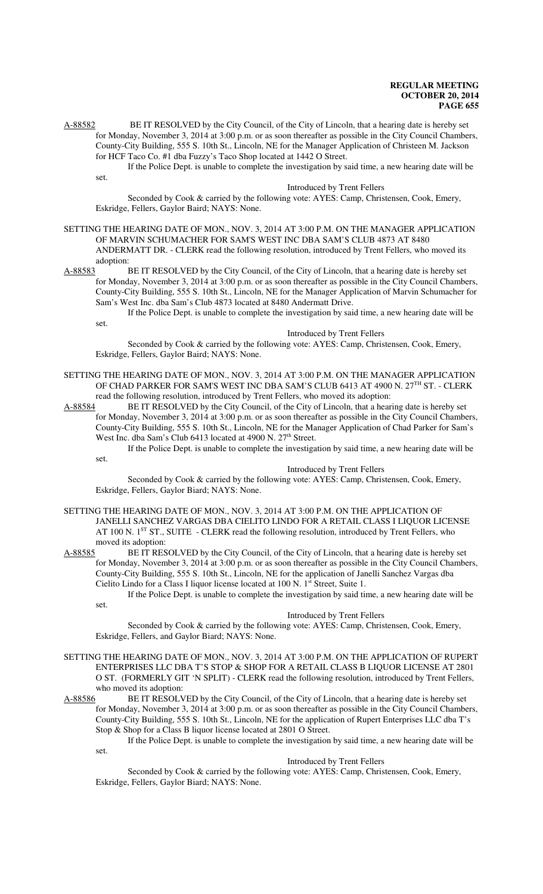A-88582 BE IT RESOLVED by the City Council, of the City of Lincoln, that a hearing date is hereby set for Monday, November 3, 2014 at 3:00 p.m. or as soon thereafter as possible in the City Council Chambers, County-City Building, 555 S. 10th St., Lincoln, NE for the Manager Application of Christeen M. Jackson for HCF Taco Co. #1 dba Fuzzy's Taco Shop located at 1442 O Street.

If the Police Dept. is unable to complete the investigation by said time, a new hearing date will be set.

#### Introduced by Trent Fellers

Seconded by Cook & carried by the following vote: AYES: Camp, Christensen, Cook, Emery, Eskridge, Fellers, Gaylor Baird; NAYS: None.

## SETTING THE HEARING DATE OF MON., NOV. 3, 2014 AT 3:00 P.M. ON THE MANAGER APPLICATION OF MARVIN SCHUMACHER FOR SAM'S WEST INC DBA SAM'S CLUB 4873 AT 8480 ANDERMATT DR. - CLERK read the following resolution, introduced by Trent Fellers, who moved its

adoption:

set.

A-88583 BE IT RESOLVED by the City Council, of the City of Lincoln, that a hearing date is hereby set for Monday, November 3, 2014 at 3:00 p.m. or as soon thereafter as possible in the City Council Chambers, County-City Building, 555 S. 10th St., Lincoln, NE for the Manager Application of Marvin Schumacher for Sam's West Inc. dba Sam's Club 4873 located at 8480 Andermatt Drive.

If the Police Dept. is unable to complete the investigation by said time, a new hearing date will be set.

#### Introduced by Trent Fellers

Seconded by Cook & carried by the following vote: AYES: Camp, Christensen, Cook, Emery, Eskridge, Fellers, Gaylor Baird; NAYS: None.

SETTING THE HEARING DATE OF MON., NOV. 3, 2014 AT 3:00 P.M. ON THE MANAGER APPLICATION OF CHAD PARKER FOR SAM'S WEST INC DBA SAM'S CLUB 6413 AT 4900 N. 27TH ST. - CLERK read the following resolution, introduced by Trent Fellers, who moved its adoption:

A-88584 BE IT RESOLVED by the City Council, of the City of Lincoln, that a hearing date is hereby set for Monday, November 3, 2014 at 3:00 p.m. or as soon thereafter as possible in the City Council Chambers, County-City Building, 555 S. 10th St., Lincoln, NE for the Manager Application of Chad Parker for Sam's West Inc. dba Sam's Club 6413 located at 4900 N. 27<sup>th</sup> Street.

If the Police Dept. is unable to complete the investigation by said time, a new hearing date will be set.

#### Introduced by Trent Fellers

Seconded by Cook & carried by the following vote: AYES: Camp, Christensen, Cook, Emery, Eskridge, Fellers, Gaylor Biard; NAYS: None.

- SETTING THE HEARING DATE OF MON., NOV. 3, 2014 AT 3:00 P.M. ON THE APPLICATION OF JANELLI SANCHEZ VARGAS DBA CIELITO LINDO FOR A RETAIL CLASS I LIQUOR LICENSE AT 100 N. 1<sup>ST</sup> ST., SUITE - CLERK read the following resolution, introduced by Trent Fellers, who moved its adoption:<br>A-88585 BE IT RES
- BE IT RESOLVED by the City Council, of the City of Lincoln, that a hearing date is hereby set for Monday, November 3, 2014 at 3:00 p.m. or as soon thereafter as possible in the City Council Chambers, County-City Building, 555 S. 10th St., Lincoln, NE for the application of Janelli Sanchez Vargas dba Cielito Lindo for a Class I liquor license located at 100 N. 1<sup>st</sup> Street, Suite 1.

If the Police Dept. is unable to complete the investigation by said time, a new hearing date will be set.

#### Introduced by Trent Fellers

Seconded by Cook & carried by the following vote: AYES: Camp, Christensen, Cook, Emery, Eskridge, Fellers, and Gaylor Biard; NAYS: None.

- SETTING THE HEARING DATE OF MON., NOV. 3, 2014 AT 3:00 P.M. ON THE APPLICATION OF RUPERT ENTERPRISES LLC DBA T'S STOP & SHOP FOR A RETAIL CLASS B LIQUOR LICENSE AT 2801 O ST. (FORMERLY GIT 'N SPLIT) - CLERK read the following resolution, introduced by Trent Fellers, who moved its adoption:
- A-88586 BE IT RESOLVED by the City Council, of the City of Lincoln, that a hearing date is hereby set for Monday, November 3, 2014 at 3:00 p.m. or as soon thereafter as possible in the City Council Chambers, County-City Building, 555 S. 10th St., Lincoln, NE for the application of Rupert Enterprises LLC dba T's Stop & Shop for a Class B liquor license located at 2801 O Street.

If the Police Dept. is unable to complete the investigation by said time, a new hearing date will be

#### Introduced by Trent Fellers

Seconded by Cook & carried by the following vote: AYES: Camp, Christensen, Cook, Emery, Eskridge, Fellers, Gaylor Biard; NAYS: None.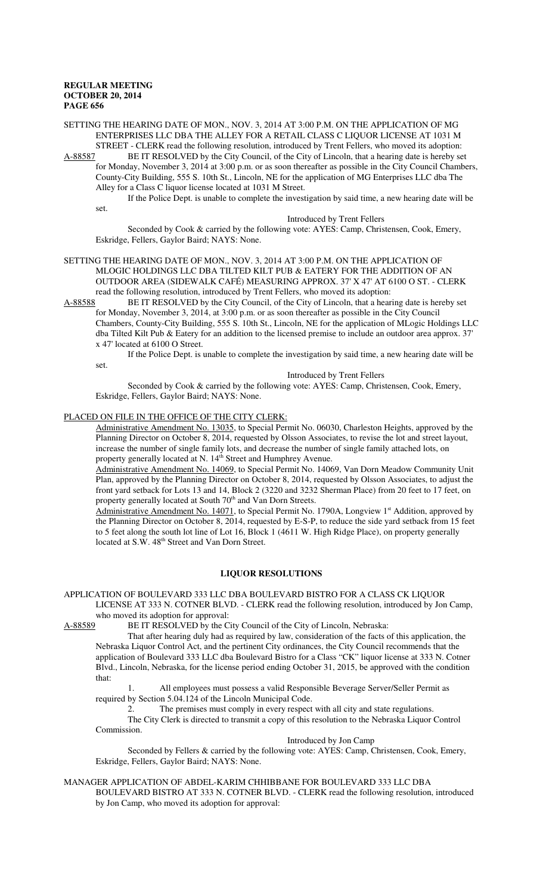SETTING THE HEARING DATE OF MON., NOV. 3, 2014 AT 3:00 P.M. ON THE APPLICATION OF MG ENTERPRISES LLC DBA THE ALLEY FOR A RETAIL CLASS C LIQUOR LICENSE AT 1031 M STREET - CLERK read the following resolution, introduced by Trent Fellers, who moved its adoption:

A-88587 BE IT RESOLVED by the City Council, of the City of Lincoln, that a hearing date is hereby set for Monday, November 3, 2014 at 3:00 p.m. or as soon thereafter as possible in the City Council Chambers, County-City Building, 555 S. 10th St., Lincoln, NE for the application of MG Enterprises LLC dba The Alley for a Class C liquor license located at 1031 M Street.

If the Police Dept. is unable to complete the investigation by said time, a new hearing date will be set.

Introduced by Trent Fellers

Seconded by Cook & carried by the following vote: AYES: Camp, Christensen, Cook, Emery, Eskridge, Fellers, Gaylor Baird; NAYS: None.

SETTING THE HEARING DATE OF MON., NOV. 3, 2014 AT 3:00 P.M. ON THE APPLICATION OF MLOGIC HOLDINGS LLC DBA TILTED KILT PUB & EATERY FOR THE ADDITION OF AN OUTDOOR AREA (SIDEWALK CAFÉ) MEASURING APPROX. 37' X 47' AT 6100 O ST. - CLERK read the following resolution, introduced by Trent Fellers, who moved its adoption:

A-88588 BE IT RESOLVED by the City Council, of the City of Lincoln, that a hearing date is hereby set for Monday, November 3, 2014, at 3:00 p.m. or as soon thereafter as possible in the City Council Chambers, County-City Building, 555 S. 10th St., Lincoln, NE for the application of MLogic Holdings LLC dba Tilted Kilt Pub & Eatery for an addition to the licensed premise to include an outdoor area approx. 37' x 47' located at 6100 O Street.

If the Police Dept. is unable to complete the investigation by said time, a new hearing date will be set.

Introduced by Trent Fellers

Seconded by Cook & carried by the following vote: AYES: Camp, Christensen, Cook, Emery, Eskridge, Fellers, Gaylor Baird; NAYS: None.

### PLACED ON FILE IN THE OFFICE OF THE CITY CLERK:

Administrative Amendment No. 13035, to Special Permit No. 06030, Charleston Heights, approved by the Planning Director on October 8, 2014, requested by Olsson Associates, to revise the lot and street layout, increase the number of single family lots, and decrease the number of single family attached lots, on property generally located at N. 14<sup>th</sup> Street and Humphrey Avenue.

Administrative Amendment No. 14069, to Special Permit No. 14069, Van Dorn Meadow Community Unit Plan, approved by the Planning Director on October 8, 2014, requested by Olsson Associates, to adjust the front yard setback for Lots 13 and 14, Block 2 (3220 and 3232 Sherman Place) from 20 feet to 17 feet, on property generally located at South 70<sup>th</sup> and Van Dorn Streets.

Administrative Amendment No. 14071, to Special Permit No. 1790A, Longview 1<sup>st</sup> Addition, approved by the Planning Director on October 8, 2014, requested by E-S-P, to reduce the side yard setback from 15 feet to 5 feet along the south lot line of Lot 16, Block 1 (4611 W. High Ridge Place), on property generally located at S.W. 48<sup>th</sup> Street and Van Dorn Street.

### **LIQUOR RESOLUTIONS**

APPLICATION OF BOULEVARD 333 LLC DBA BOULEVARD BISTRO FOR A CLASS CK LIQUOR LICENSE AT 333 N. COTNER BLVD. - CLERK read the following resolution, introduced by Jon Camp, who moved its adoption for approval:

A-88589 BE IT RESOLVED by the City Council of the City of Lincoln, Nebraska:

That after hearing duly had as required by law, consideration of the facts of this application, the Nebraska Liquor Control Act, and the pertinent City ordinances, the City Council recommends that the application of Boulevard 333 LLC dba Boulevard Bistro for a Class "CK" liquor license at 333 N. Cotner Blvd., Lincoln, Nebraska, for the license period ending October 31, 2015, be approved with the condition that:

1. All employees must possess a valid Responsible Beverage Server/Seller Permit as required by Section 5.04.124 of the Lincoln Municipal Code.

2. The premises must comply in every respect with all city and state regulations.

The City Clerk is directed to transmit a copy of this resolution to the Nebraska Liquor Control Commission.

Introduced by Jon Camp

Seconded by Fellers & carried by the following vote: AYES: Camp, Christensen, Cook, Emery, Eskridge, Fellers, Gaylor Baird; NAYS: None.

MANAGER APPLICATION OF ABDEL-KARIM CHHIBBANE FOR BOULEVARD 333 LLC DBA

BOULEVARD BISTRO AT 333 N. COTNER BLVD. - CLERK read the following resolution, introduced by Jon Camp, who moved its adoption for approval: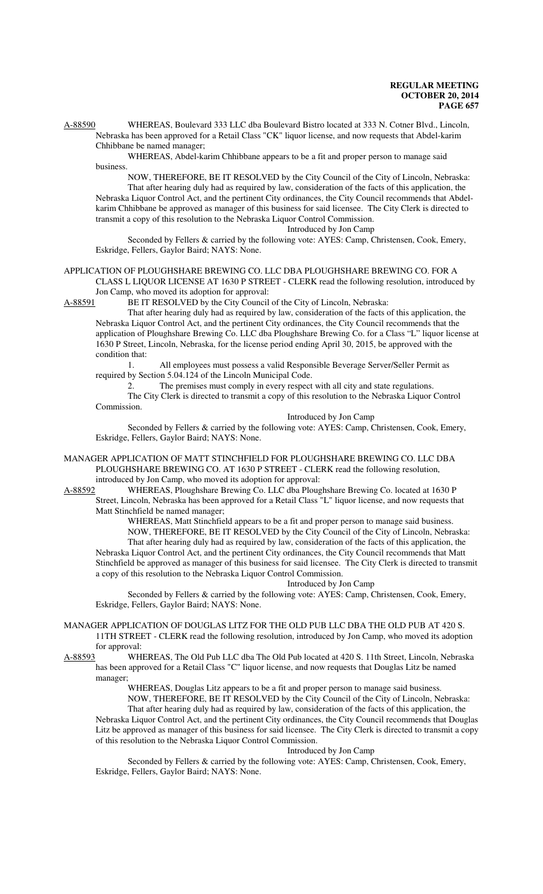A-88590 WHEREAS, Boulevard 333 LLC dba Boulevard Bistro located at 333 N. Cotner Blvd., Lincoln, Nebraska has been approved for a Retail Class "CK" liquor license, and now requests that Abdel-karim Chhibbane be named manager;

WHEREAS, Abdel-karim Chhibbane appears to be a fit and proper person to manage said business.

NOW, THEREFORE, BE IT RESOLVED by the City Council of the City of Lincoln, Nebraska: That after hearing duly had as required by law, consideration of the facts of this application, the Nebraska Liquor Control Act, and the pertinent City ordinances, the City Council recommends that Abdelkarim Chhibbane be approved as manager of this business for said licensee. The City Clerk is directed to transmit a copy of this resolution to the Nebraska Liquor Control Commission.

Introduced by Jon Camp

Seconded by Fellers & carried by the following vote: AYES: Camp, Christensen, Cook, Emery, Eskridge, Fellers, Gaylor Baird; NAYS: None.

### APPLICATION OF PLOUGHSHARE BREWING CO. LLC DBA PLOUGHSHARE BREWING CO. FOR A CLASS L LIQUOR LICENSE AT 1630 P STREET - CLERK read the following resolution, introduced by Jon Camp, who moved its adoption for approval:

A-88591 BE IT RESOLVED by the City Council of the City of Lincoln, Nebraska:

That after hearing duly had as required by law, consideration of the facts of this application, the Nebraska Liquor Control Act, and the pertinent City ordinances, the City Council recommends that the application of Ploughshare Brewing Co. LLC dba Ploughshare Brewing Co. for a Class "L" liquor license at 1630 P Street, Lincoln, Nebraska, for the license period ending April 30, 2015, be approved with the condition that:

1. All employees must possess a valid Responsible Beverage Server/Seller Permit as required by Section 5.04.124 of the Lincoln Municipal Code.

2. The premises must comply in every respect with all city and state regulations.

The City Clerk is directed to transmit a copy of this resolution to the Nebraska Liquor Control Commission.

Introduced by Jon Camp

Seconded by Fellers & carried by the following vote: AYES: Camp, Christensen, Cook, Emery, Eskridge, Fellers, Gaylor Baird; NAYS: None.

MANAGER APPLICATION OF MATT STINCHFIELD FOR PLOUGHSHARE BREWING CO. LLC DBA PLOUGHSHARE BREWING CO. AT 1630 P STREET - CLERK read the following resolution,

introduced by Jon Camp, who moved its adoption for approval:<br>A-88592 WHEREAS, Ploughshare Brewing Co. LLC dba Ploughshare WHEREAS, Ploughshare Brewing Co. LLC dba Ploughshare Brewing Co. located at 1630 P Street, Lincoln, Nebraska has been approved for a Retail Class "L" liquor license, and now requests that Matt Stinchfield be named manager;

WHEREAS, Matt Stinchfield appears to be a fit and proper person to manage said business. NOW, THEREFORE, BE IT RESOLVED by the City Council of the City of Lincoln, Nebraska: That after hearing duly had as required by law, consideration of the facts of this application, the Nebraska Liquor Control Act, and the pertinent City ordinances, the City Council recommends that Matt Stinchfield be approved as manager of this business for said licensee. The City Clerk is directed to transmit a copy of this resolution to the Nebraska Liquor Control Commission.

Introduced by Jon Camp

Seconded by Fellers & carried by the following vote: AYES: Camp, Christensen, Cook, Emery, Eskridge, Fellers, Gaylor Baird; NAYS: None.

# MANAGER APPLICATION OF DOUGLAS LITZ FOR THE OLD PUB LLC DBA THE OLD PUB AT 420 S. 11TH STREET - CLERK read the following resolution, introduced by Jon Camp, who moved its adoption

for approval:<br>A-88593 WH WHEREAS, The Old Pub LLC dba The Old Pub located at 420 S. 11th Street, Lincoln, Nebraska has been approved for a Retail Class "C" liquor license, and now requests that Douglas Litz be named manager;

WHEREAS, Douglas Litz appears to be a fit and proper person to manage said business. NOW, THEREFORE, BE IT RESOLVED by the City Council of the City of Lincoln, Nebraska:

That after hearing duly had as required by law, consideration of the facts of this application, the Nebraska Liquor Control Act, and the pertinent City ordinances, the City Council recommends that Douglas Litz be approved as manager of this business for said licensee. The City Clerk is directed to transmit a copy of this resolution to the Nebraska Liquor Control Commission.

Introduced by Jon Camp

Seconded by Fellers & carried by the following vote: AYES: Camp, Christensen, Cook, Emery, Eskridge, Fellers, Gaylor Baird; NAYS: None.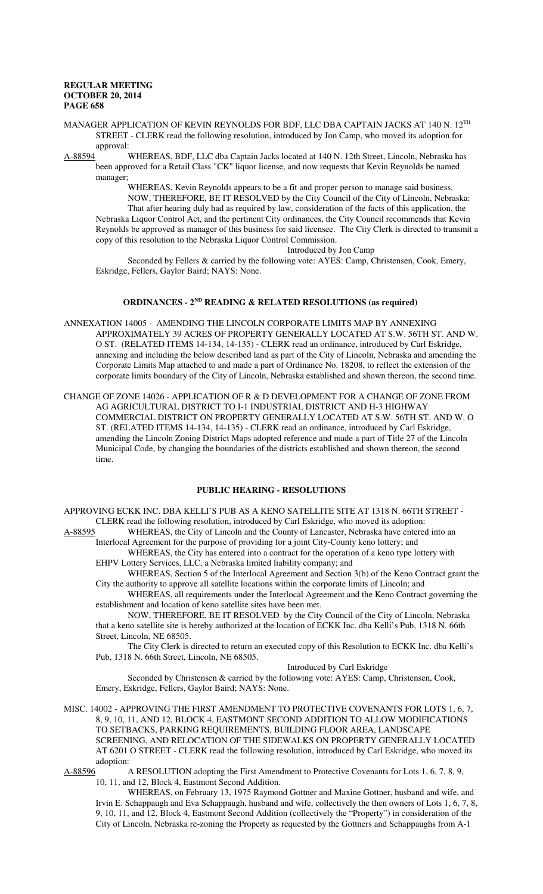- MANAGER APPLICATION OF KEVIN REYNOLDS FOR BDF, LLC DBA CAPTAIN JACKS AT 140 N. 12<sup>TH</sup> STREET - CLERK read the following resolution, introduced by Jon Camp, who moved its adoption for
- approval:<br>A-88594 V WHEREAS, BDF, LLC dba Captain Jacks located at 140 N. 12th Street, Lincoln, Nebraska has been approved for a Retail Class "CK" liquor license, and now requests that Kevin Reynolds be named manager;

WHEREAS, Kevin Reynolds appears to be a fit and proper person to manage said business. NOW, THEREFORE, BE IT RESOLVED by the City Council of the City of Lincoln, Nebraska: That after hearing duly had as required by law, consideration of the facts of this application, the Nebraska Liquor Control Act, and the pertinent City ordinances, the City Council recommends that Kevin Reynolds be approved as manager of this business for said licensee. The City Clerk is directed to transmit a copy of this resolution to the Nebraska Liquor Control Commission.

Introduced by Jon Camp

Seconded by Fellers & carried by the following vote: AYES: Camp, Christensen, Cook, Emery, Eskridge, Fellers, Gaylor Baird; NAYS: None.

# **ORDINANCES - 2ND READING & RELATED RESOLUTIONS (as required)**

- ANNEXATION 14005 AMENDING THE LINCOLN CORPORATE LIMITS MAP BY ANNEXING APPROXIMATELY 39 ACRES OF PROPERTY GENERALLY LOCATED AT S.W. 56TH ST. AND W. O ST. (RELATED ITEMS 14-134, 14-135) - CLERK read an ordinance, introduced by Carl Eskridge, annexing and including the below described land as part of the City of Lincoln, Nebraska and amending the Corporate Limits Map attached to and made a part of Ordinance No. 18208, to reflect the extension of the corporate limits boundary of the City of Lincoln, Nebraska established and shown thereon, the second time.
- CHANGE OF ZONE 14026 APPLICATION OF R & D DEVELOPMENT FOR A CHANGE OF ZONE FROM AG AGRICULTURAL DISTRICT TO I-1 INDUSTRIAL DISTRICT AND H-3 HIGHWAY COMMERCIAL DISTRICT ON PROPERTY GENERALLY LOCATED AT S.W. 56TH ST. AND W. O ST. (RELATED ITEMS 14-134, 14-135) - CLERK read an ordinance, introduced by Carl Eskridge, amending the Lincoln Zoning District Maps adopted reference and made a part of Title 27 of the Lincoln Municipal Code, by changing the boundaries of the districts established and shown thereon, the second time.

# **PUBLIC HEARING - RESOLUTIONS**

APPROVING ECKK INC. DBA KELLI'S PUB AS A KENO SATELLITE SITE AT 1318 N. 66TH STREET - CLERK read the following resolution, introduced by Carl Eskridge, who moved its adoption:

A-88595 WHEREAS, the City of Lincoln and the County of Lancaster, Nebraska have entered into an Interlocal Agreement for the purpose of providing for a joint City-County keno lottery; and WHEREAS, the City has entered into a contract for the operation of a keno type lottery with

- EHPV Lottery Services, LLC, a Nebraska limited liability company; and
- WHEREAS, Section 5 of the Interlocal Agreement and Section 3(b) of the Keno Contract grant the City the authority to approve all satellite locations within the corporate limits of Lincoln; and

WHEREAS, all requirements under the Interlocal Agreement and the Keno Contract governing the establishment and location of keno satellite sites have been met.

NOW, THEREFORE, BE IT RESOLVED by the City Council of the City of Lincoln, Nebraska that a keno satellite site is hereby authorized at the location of ECKK Inc. dba Kelli's Pub, 1318 N. 66th Street, Lincoln, NE 68505.

The City Clerk is directed to return an executed copy of this Resolution to ECKK Inc. dba Kelli's Pub, 1318 N. 66th Street, Lincoln, NE 68505.

Introduced by Carl Eskridge

Seconded by Christensen & carried by the following vote: AYES: Camp, Christensen, Cook, Emery, Eskridge, Fellers, Gaylor Baird; NAYS: None.

MISC. 14002 - APPROVING THE FIRST AMENDMENT TO PROTECTIVE COVENANTS FOR LOTS 1, 6, 7, 8, 9, 10, 11, AND 12, BLOCK 4, EASTMONT SECOND ADDITION TO ALLOW MODIFICATIONS TO SETBACKS, PARKING REQUIREMENTS, BUILDING FLOOR AREA, LANDSCAPE SCREENING, AND RELOCATION OF THE SIDEWALKS ON PROPERTY GENERALLY LOCATED AT 6201 O STREET - CLERK read the following resolution, introduced by Carl Eskridge, who moved its adoption:<br>A-88596

A-RESOLUTION adopting the First Amendment to Protective Covenants for Lots 1, 6, 7, 8, 9, 10, 11, and 12, Block 4, Eastmont Second Addition.

WHEREAS, on February 13, 1975 Raymond Gottner and Maxine Gottner, husband and wife, and Irvin E. Schappaugh and Eva Schappaugh, husband and wife, collectively the then owners of Lots 1, 6, 7, 8, 9, 10, 11, and 12, Block 4, Eastmont Second Addition (collectively the "Property") in consideration of the City of Lincoln, Nebraska re-zoning the Property as requested by the Gottners and Schappaughs from A-1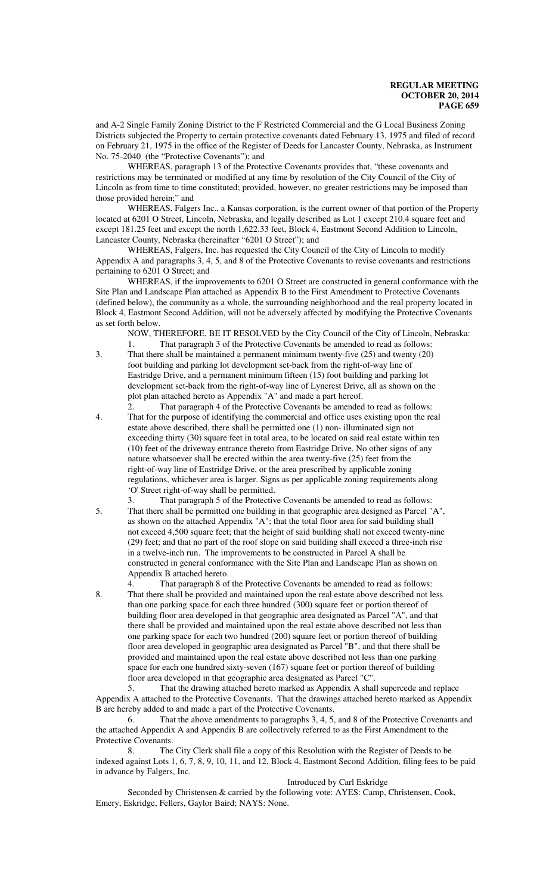and A-2 Single Family Zoning District to the F Restricted Commercial and the G Local Business Zoning Districts subjected the Property to certain protective covenants dated February 13, 1975 and filed of record on February 21, 1975 in the office of the Register of Deeds for Lancaster County, Nebraska, as Instrument No. 75-2040 (the "Protective Covenants"); and

WHEREAS, paragraph 13 of the Protective Covenants provides that, "these covenants and restrictions may be terminated or modified at any time by resolution of the City Council of the City of Lincoln as from time to time constituted; provided, however, no greater restrictions may be imposed than those provided herein;" and

WHEREAS, Falgers Inc., a Kansas corporation, is the current owner of that portion of the Property located at 6201 O Street, Lincoln, Nebraska, and legally described as Lot 1 except 210.4 square feet and except 181.25 feet and except the north 1,622.33 feet, Block 4, Eastmont Second Addition to Lincoln, Lancaster County, Nebraska (hereinafter "6201 O Street"); and

WHEREAS, Falgers, Inc. has requested the City Council of the City of Lincoln to modify Appendix A and paragraphs 3, 4, 5, and 8 of the Protective Covenants to revise covenants and restrictions pertaining to 6201 O Street; and

WHEREAS, if the improvements to 6201 O Street are constructed in general conformance with the Site Plan and Landscape Plan attached as Appendix B to the First Amendment to Protective Covenants (defined below), the community as a whole, the surrounding neighborhood and the real property located in Block 4, Eastmont Second Addition, will not be adversely affected by modifying the Protective Covenants as set forth below.

NOW, THEREFORE, BE IT RESOLVED by the City Council of the City of Lincoln, Nebraska: That paragraph 3 of the Protective Covenants be amended to read as follows:

- 3. That there shall be maintained a permanent minimum twenty-five (25) and twenty (20) foot building and parking lot development set-back from the right-of-way line of Eastridge Drive, and a permanent minimum fifteen (15) foot building and parking lot development set-back from the right-of-way line of Lyncrest Drive, all as shown on the plot plan attached hereto as Appendix "A" and made a part hereof.
- 2. That paragraph 4 of the Protective Covenants be amended to read as follows: 4. That for the purpose of identifying the commercial and office uses existing upon the real estate above described, there shall be permitted one (1) non- illuminated sign not exceeding thirty (30) square feet in total area, to be located on said real estate within ten (10) feet of the driveway entrance thereto from Eastridge Drive. No other signs of any nature whatsoever shall be erected within the area twenty-five (25) feet from the right-of-way line of Eastridge Drive, or the area prescribed by applicable zoning regulations, whichever area is larger. Signs as per applicable zoning requirements along 'O' Street right-of-way shall be permitted.
- That paragraph 5 of the Protective Covenants be amended to read as follows: 5. That there shall be permitted one building in that geographic area designed as Parcel "A", as shown on the attached Appendix "A"; that the total floor area for said building shall not exceed 4,500 square feet; that the height of said building shall not exceed twenty-nine (29) feet; and that no part of the roof slope on said building shall exceed a three-inch rise in a twelve-inch run. The improvements to be constructed in Parcel A shall be constructed in general conformance with the Site Plan and Landscape Plan as shown on Appendix B attached hereto.
- 4. That paragraph 8 of the Protective Covenants be amended to read as follows: 8. That there shall be provided and maintained upon the real estate above described not less than one parking space for each three hundred (300) square feet or portion thereof of building floor area developed in that geographic area designated as Parcel "A", and that there shall be provided and maintained upon the real estate above described not less than one parking space for each two hundred (200) square feet or portion thereof of building floor area developed in geographic area designated as Parcel "B", and that there shall be provided and maintained upon the real estate above described not less than one parking space for each one hundred sixty-seven (167) square feet or portion thereof of building floor area developed in that geographic area designated as Parcel "C".

5. That the drawing attached hereto marked as Appendix A shall supercede and replace Appendix A attached to the Protective Covenants. That the drawings attached hereto marked as Appendix B are hereby added to and made a part of the Protective Covenants.

6. That the above amendments to paragraphs 3, 4, 5, and 8 of the Protective Covenants and the attached Appendix A and Appendix B are collectively referred to as the First Amendment to the Protective Covenants.

8. The City Clerk shall file a copy of this Resolution with the Register of Deeds to be indexed against Lots 1, 6, 7, 8, 9, 10, 11, and 12, Block 4, Eastmont Second Addition, filing fees to be paid in advance by Falgers, Inc.

#### Introduced by Carl Eskridge

Seconded by Christensen & carried by the following vote: AYES: Camp, Christensen, Cook, Emery, Eskridge, Fellers, Gaylor Baird; NAYS: None.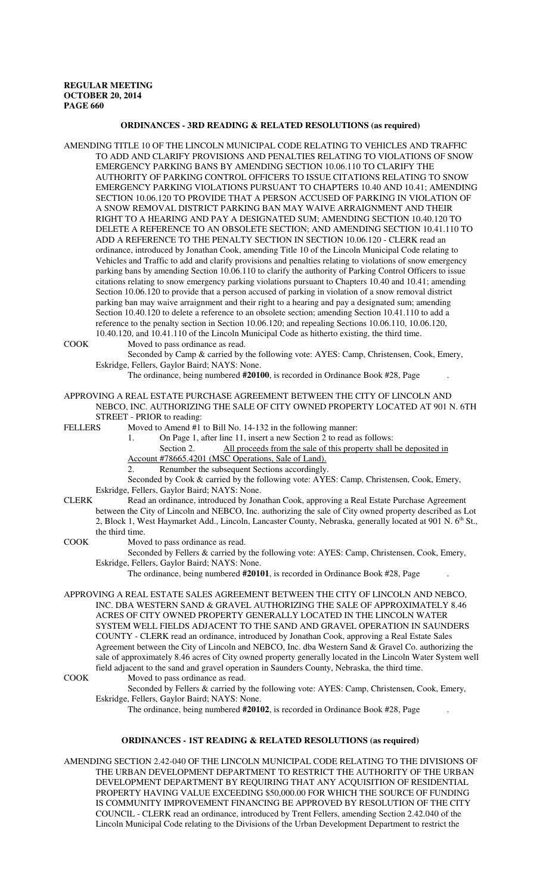#### **ORDINANCES - 3RD READING & RELATED RESOLUTIONS (as required)**

AMENDING TITLE 10 OF THE LINCOLN MUNICIPAL CODE RELATING TO VEHICLES AND TRAFFIC TO ADD AND CLARIFY PROVISIONS AND PENALTIES RELATING TO VIOLATIONS OF SNOW EMERGENCY PARKING BANS BY AMENDING SECTION 10.06.110 TO CLARIFY THE AUTHORITY OF PARKING CONTROL OFFICERS TO ISSUE CITATIONS RELATING TO SNOW EMERGENCY PARKING VIOLATIONS PURSUANT TO CHAPTERS 10.40 AND 10.41; AMENDING SECTION 10.06.120 TO PROVIDE THAT A PERSON ACCUSED OF PARKING IN VIOLATION OF A SNOW REMOVAL DISTRICT PARKING BAN MAY WAIVE ARRAIGNMENT AND THEIR RIGHT TO A HEARING AND PAY A DESIGNATED SUM; AMENDING SECTION 10.40.120 TO DELETE A REFERENCE TO AN OBSOLETE SECTION; AND AMENDING SECTION 10.41.110 TO ADD A REFERENCE TO THE PENALTY SECTION IN SECTION 10.06.120 - CLERK read an ordinance, introduced by Jonathan Cook, amending Title 10 of the Lincoln Municipal Code relating to Vehicles and Traffic to add and clarify provisions and penalties relating to violations of snow emergency parking bans by amending Section 10.06.110 to clarify the authority of Parking Control Officers to issue citations relating to snow emergency parking violations pursuant to Chapters 10.40 and 10.41; amending Section 10.06.120 to provide that a person accused of parking in violation of a snow removal district parking ban may waive arraignment and their right to a hearing and pay a designated sum; amending Section 10.40.120 to delete a reference to an obsolete section; amending Section 10.41.110 to add a reference to the penalty section in Section 10.06.120; and repealing Sections 10.06.110, 10.06.120, 10.40.120, and 10.41.110 of the Lincoln Municipal Code as hitherto existing, the third time.

COOK Moved to pass ordinance as read.

Seconded by Camp & carried by the following vote: AYES: Camp, Christensen, Cook, Emery, Eskridge, Fellers, Gaylor Baird; NAYS: None.

The ordinance, being numbered **#20100**, is recorded in Ordinance Book #28, Page .

APPROVING A REAL ESTATE PURCHASE AGREEMENT BETWEEN THE CITY OF LINCOLN AND NEBCO, INC. AUTHORIZING THE SALE OF CITY OWNED PROPERTY LOCATED AT 901 N. 6TH STREET - PRIOR to reading:

FELLERS Moved to Amend #1 to Bill No. 14-132 in the following manner:

1. On Page 1, after line 11, insert a new Section 2 to read as follows:

Section 2. All proceeds from the sale of this property shall be deposited in

Account #78665.4201 (MSC Operations, Sale of Land).

2. Renumber the subsequent Sections accordingly.

Seconded by Cook & carried by the following vote: AYES: Camp, Christensen, Cook, Emery, Eskridge, Fellers, Gaylor Baird; NAYS: None.

CLERK Read an ordinance, introduced by Jonathan Cook, approving a Real Estate Purchase Agreement

between the City of Lincoln and NEBCO, Inc. authorizing the sale of City owned property described as Lot 2, Block 1, West Haymarket Add., Lincoln, Lancaster County, Nebraska, generally located at 901 N.  $6<sup>th</sup>$  St., the third time.

COOK Moved to pass ordinance as read.

Seconded by Fellers & carried by the following vote: AYES: Camp, Christensen, Cook, Emery, Eskridge, Fellers, Gaylor Baird; NAYS: None.

The ordinance, being numbered **#20101**, is recorded in Ordinance Book #28, Page .

APPROVING A REAL ESTATE SALES AGREEMENT BETWEEN THE CITY OF LINCOLN AND NEBCO, INC. DBA WESTERN SAND & GRAVEL AUTHORIZING THE SALE OF APPROXIMATELY 8.46 ACRES OF CITY OWNED PROPERTY GENERALLY LOCATED IN THE LINCOLN WATER SYSTEM WELL FIELDS ADJACENT TO THE SAND AND GRAVEL OPERATION IN SAUNDERS COUNTY - CLERK read an ordinance, introduced by Jonathan Cook, approving a Real Estate Sales Agreement between the City of Lincoln and NEBCO, Inc. dba Western Sand & Gravel Co. authorizing the sale of approximately 8.46 acres of City owned property generally located in the Lincoln Water System well field adjacent to the sand and gravel operation in Saunders County, Nebraska, the third time. COOK Moved to pass ordinance as read.

Seconded by Fellers & carried by the following vote: AYES: Camp, Christensen, Cook, Emery, Eskridge, Fellers, Gaylor Baird; NAYS: None.

The ordinance, being numbered **#20102**, is recorded in Ordinance Book #28, Page .

### **ORDINANCES - 1ST READING & RELATED RESOLUTIONS (as required)**

AMENDING SECTION 2.42-040 OF THE LINCOLN MUNICIPAL CODE RELATING TO THE DIVISIONS OF THE URBAN DEVELOPMENT DEPARTMENT TO RESTRICT THE AUTHORITY OF THE URBAN DEVELOPMENT DEPARTMENT BY REQUIRING THAT ANY ACQUISITION OF RESIDENTIAL PROPERTY HAVING VALUE EXCEEDING \$50,000.00 FOR WHICH THE SOURCE OF FUNDING IS COMMUNITY IMPROVEMENT FINANCING BE APPROVED BY RESOLUTION OF THE CITY COUNCIL - CLERK read an ordinance, introduced by Trent Fellers, amending Section 2.42.040 of the Lincoln Municipal Code relating to the Divisions of the Urban Development Department to restrict the